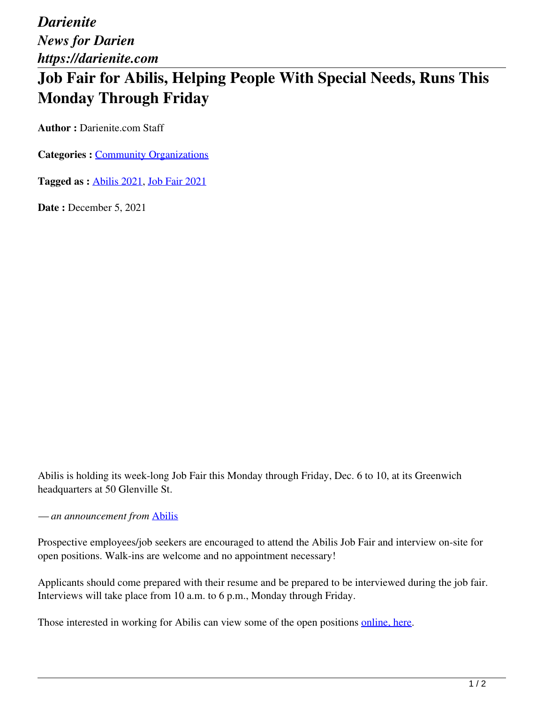*Darienite News for Darien https://darienite.com*

## **Job Fair for Abilis, Helping People With Special Needs, Runs This Monday Through Friday**

**Author :** Darienite.com Staff

**Categories : [Community Organizations](https://darienite.com/category/news/community-organizations)** 

**Tagged as :** Abilis 2021, Job Fair 2021

**Date : December 5, 2021** 

Abilis is holding its week-long Job Fair this Monday through Friday, Dec. 6 to 10, at its Greenwich headquarters at 50 Glenville St.

*— an announcement from* Abilis

Prospective employees/job seekers are encouraged to attend the Abilis Job Fair and interview on-site for open positions. Walk-ins are welcome and no appointment necessary!

Applicants should come prepared with their resume and be prepared to be interviewed during the job fair. Interviews will take place from 10 a.m. to 6 p.m., Monday through Friday.

Those interested in working for Abilis can view some of the open positions online, here.